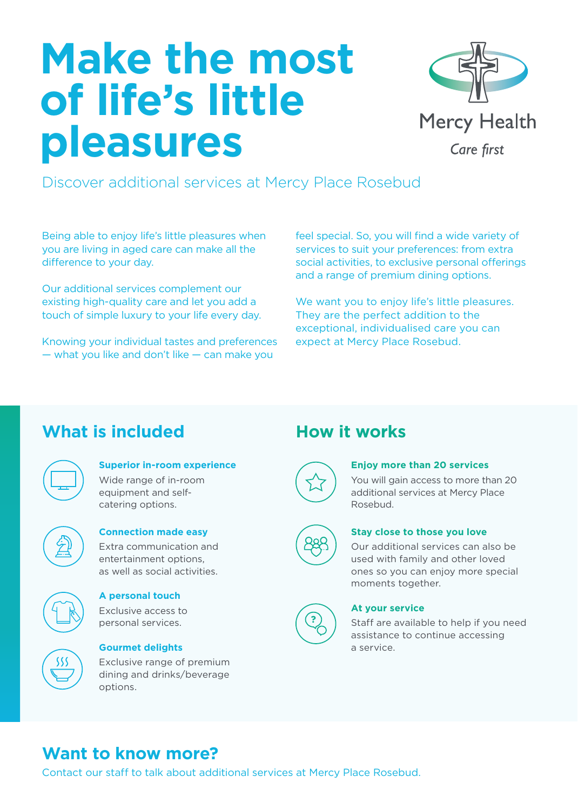# **Make the most of life's little pleasures**



Discover additional services at Mercy Place Rosebud

Being able to enjoy life's little pleasures when you are living in aged care can make all the difference to your day.

Our additional services complement our existing high-quality care and let you add a touch of simple luxury to your life every day.

Knowing your individual tastes and preferences — what you like and don't like — can make you

feel special. So, you will find a wide variety of services to suit your preferences: from extra social activities, to exclusive personal offerings and a range of premium dining options.

We want you to enjoy life's little pleasures. They are the perfect addition to the exceptional, individualised care you can expect at Mercy Place Rosebud.

# **What is included How it works**

# **Superior in-room experience**

Wide range of in-room equipment and selfcatering options.



### **Connection made easy** Extra communication and

entertainment options, as well as social activities.



### **A personal touch**

Exclusive access to personal services.



**Gourmet delights**

Exclusive range of premium dining and drinks/beverage options.



### **Enjoy more than 20 services**

You will gain access to more than 20 additional services at Mercy Place Rosebud.



### **Stay close to those you love**

Our additional services can also be used with family and other loved ones so you can enjoy more special moments together.



### **At your service**

Staff are available to help if you need assistance to continue accessing a service.

# **Want to know more?**

Contact our staff to talk about additional services at Mercy Place Rosebud.